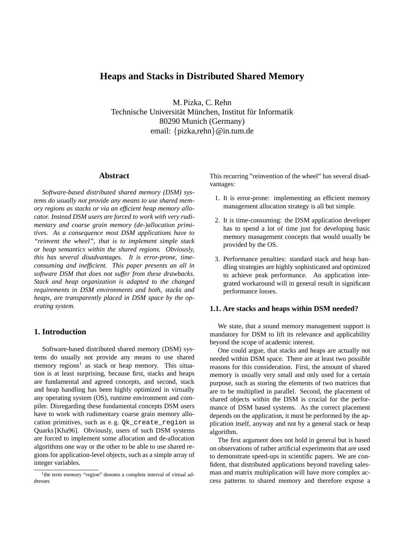# **Heaps and Stacks in Distributed Shared Memory**

M. Pizka, C. Rehn Technische Universität München, Institut für Informatik 80290 Munich (Germany) email: {pizka,rehn}@in.tum.de

## **Abstract**

*Software-based distributed shared memory (DSM) systems do usually not provide any means to use shared memory regions as stacks or via an efficient heap memory allocator. Instead DSM users are forced to work with very rudimentary and coarse grain memory (de-)allocation primitives. As a consequence most DSM applications have to "reinvent the wheel", that is to implement simple stack or heap semantics within the shared regions. Obviously, this has several disadvantages. It is error-prone, timeconsuming and inefficient. This paper presents an all in software DSM that does not suffer from these drawbacks. Stack and heap organization is adapted to the changed requirements in DSM environments and both, stacks and heaps, are transparently placed in DSM space by the operating system.*

## **1. Introduction**

Software-based distributed shared memory (DSM) systems do usually not provide any means to use shared memory regions<sup>1</sup> as stack or heap memory. This situation is at least surprising, because first, stacks and heaps are fundamental and agreed concepts, and second, stack and heap handling has been highly optimized in virtually any operating system (OS), runtime environment and compiler. Disregarding these fundamental concepts DSM users have to work with rudimentary coarse grain memory allocation primitives, such as e. g. Qk\_create\_region in Quarks [Kha96]. Obviously, users of such DSM systems are forced to implement some allocation and de-allocation algorithms one way or the other to be able to use shared regions for application-level objects, such as a simple array of integer variables.

This recurring "reinvention of the wheel" has several disadvantages:

- 1. It is error-prone: implementing an efficient memory management allocation strategy is all but simple.
- 2. It is time-consuming: the DSM application developer has to spend a lot of time just for developing basic memory management concepts that would usually be provided by the OS.
- 3. Performance penalties: standard stack and heap handling strategies are highly sophisticated and optimized to achieve peak performance. An application integrated workaround will in general result in significant performance losses.

#### **1.1. Are stacks and heaps within DSM needed?**

We state, that a sound memory management support is mandatory for DSM to lift its relevance and applicability beyond the scope of academic interest.

One could argue, that stacks and heaps are actually not needed within DSM space. There are at least two possible reasons for this consideration. First, the amount of shared memory is usually very small and only used for a certain purpose, such as storing the elements of two matrices that are to be multiplied in parallel. Second, the placement of shared objects within the DSM is crucial for the performance of DSM based systems. As the correct placement depends on the application, it must be performed by the application itself, anyway and not by a general stack or heap algorithm.

The first argument does not hold in general but is based on observations of rather artificial experiments that are used to demonstrate speed-ups in scientific papers. We are confident, that distributed applications beyond traveling salesman and matrix multiplication will have more complex access patterns to shared memory and therefore expose a

<sup>&</sup>lt;sup>1</sup>the term memory "region" denotes a complete interval of virtual addresses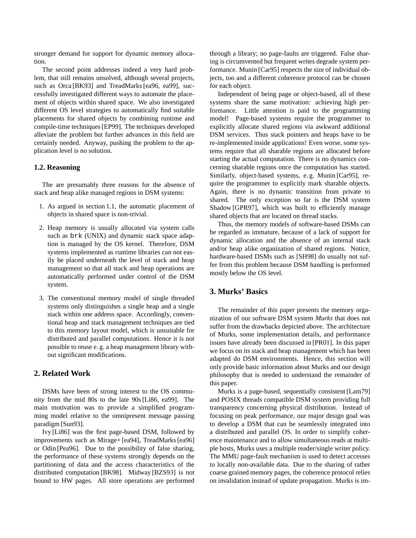stronger demand for support for dynamic memory allocation.

The second point addresses indeed a very hard problem, that still remains unsolved, although several projects, such as Orca [BK93] and TreadMarks [ea96, ea99], successfully investigated different ways to automate the placement of objects within shared space. We also investigated different OS level strategies to automatically find suitable placements for shared objects by combining runtime and compile-time techniques [EP99]. The techniques developed alleviate the problem but further advances in this field are certainly needed. Anyway, pushing the problem to the application level is no solution.

#### **1.2. Reasoning**

The are presumably three reasons for the absence of stack and heap alike managed regions in DSM systems:

- 1. As argued in section 1.1, the automatic placement of objects in shared space is non-trivial.
- 2. Heap memory is usually allocated via system calls such as brk (UNIX) and dynamic stack space adaption is managed by the OS kernel. Therefore, DSM systems implemented as runtime libraries can not easily be placed underneath the level of stack and heap management so that all stack and heap operations are automatically performed under control of the DSM system.
- 3. The conventional memory model of single threaded systems only distinguishes a single heap and a single stack within one address space. Accordingly, conventional heap and stack management techniques are tied to this memory layout model, which is unsuitable for distributed and parallel computations. Hence it is not possible to reuse e. g. a heap management library without significant modifications.

## **2. Related Work**

DSMs have been of strong interest to the OS community from the mid 80s to the late 90s [Li86, ea99]. The main motivation was to provide a simplified programming model relative to the omnipresent message passing paradigm [Sun93].

Ivy [Li86] was the first page-based DSM, followed by improvements such as Mirage+ [ea94], TreadMarks [ea96] or Odin [Pea96]. Due to the possibility of false sharing, the performance of these systems strongly depends on the partitioning of data and the access characteristics of the distributed computation [BK98]. Midway [BZS93] is not bound to HW pages. All store operations are performed through a library; no page-faults are triggered. False sharing is circumvented but frequent writes degrade system performance. Munin [Car95] respects the size of individual objects, too and a different coherence protocol can be chosen for each object.

Independent of being page or object-based, all of these systems share the same motivation: achieving high performance. Little attention is paid to the programming model! Page-based systems require the programmer to explicitly allocate shared regions via awkward additional DSM services. Thus stack pointers and heaps have to be re-implemented inside applications! Even worse, some systems require that all sharable regions are allocated before starting the actual computation. There is no dynamics concerning sharable regions once the computation has started. Similarly, object-based systems, e. g. Munin [Car95], require the programmer to explicitly mark sharable objects. Again, there is no dynamic transition from private to shared. The only exception so far is the DSM system Shadow [GPR97], which was built to efficiently manage shared objects that are located on thread stacks.

Thus, the memory models of software-based DSMs can be regarded as immature, because of a lack of support for dynamic allocation and the absence of an internal stack and/or heap alike organization of shared regions. Notice, hardware-based DSMs such as [SH98] do usually not suffer from this problem because DSM handling is performed mostly below the OS level.

## **3. Murks' Basics**

The remainder of this paper presents the memory organization of our software DSM system *Murks* that does not suffer from the drawbacks depicted above. The architecture of Murks, some implementation details, and performance issues have already been discussed in [PR01]. In this paper we focus on its stack and heap management which has been adapted do DSM environments. Hence, this section will only provide basic information about Murks and our design philosophy that is needed to understand the remainder of this paper.

Murks is a page-based, sequentially consistent [Lam79] and POSIX threads compatible DSM system providing full transparency concerning physical distribution. Instead of focusing on peak performance, our major design goal was to develop a DSM that can be seamlessly integrated into a distributed and parallel OS. In order to simplify coherence maintenance and to allow simultaneous reads at multiple hosts, Murks uses a multiple reader/single writer policy. The MMU page-fault mechanism is used to detect accesses to locally non-available data. Due to the sharing of rather coarse grained memory pages, the coherence protocol relies on invalidation instead of update propagation. Murks is im-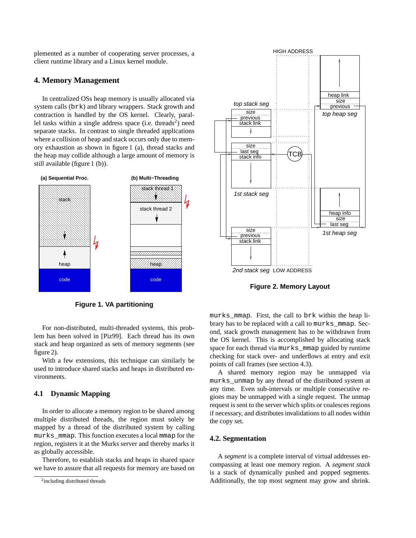plemented as a number of cooperating server processes, a client runtime library and a Linux kernel module.

### **4. Memory Management**

In centralized OSs heap memory is usually allocated via system calls (brk) and library wrappers. Stack growth and contraction is handled by the OS kernel. Clearly, parallel tasks within a single address space (i.e. threads<sup>2</sup>) need separate stacks. In contrast to single threaded applications where a collision of heap and stack occurs only due to memory exhaustion as shown in figure 1 (a), thread stacks and the heap may collide although a large amount of memory is still available (figure 1 (b)).



**Figure 1. VA partitioning**

For non-distributed, multi-threaded systems, this problem has been solved in [Piz99]. Each thread has its own stack and heap organized as sets of memory segments (see figure 2).

With a few extensions, this technique can similarly be used to introduce shared stacks and heaps in distributed environments.

### **4.1 Dynamic Mapping**

In order to allocate a memory region to be shared among multiple distributed threads, the region must solely be mapped by a thread of the distributed system by calling murks mmap. This function executes a local mmap for the region, registers it at the Murks server and thereby marks it as globally accessible.

Therefore, to establish stacks and heaps in shared space we have to assure that all requests for memory are based on



**Figure 2. Memory Layout**

murks\_mmap. First, the call to brk within the heap library has to be replaced with a call to murks\_mmap. Second, stack growth management has to be withdrawn from the OS kernel. This is accomplished by allocating stack space for each thread via murks\_mmap guided by runtime checking for stack over- and underflows at entry and exit points of call frames (see section 4.3).

A shared memory region may be unmapped via murks\_unmap by any thread of the distributed system at any time. Even sub-intervals or multiple consecutive regions may be unmapped with a single request. The unmap request is sent to the server which splits or coalesces regions if necessary, and distributes invalidations to all nodes within the copy set.

#### **4.2. Segmentation**

A *segment* is a complete interval of virtual addresses encompassing at least one memory region. A *segment stack* is a stack of dynamically pushed and popped segments. Additionally, the top most segment may grow and shrink.

<sup>&</sup>lt;sup>2</sup>including distributed threads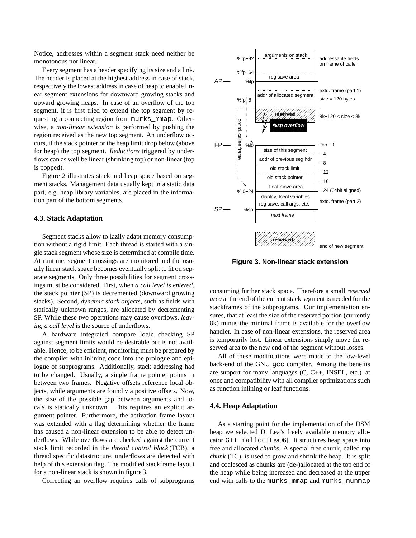Notice, addresses within a segment stack need neither be monotonous nor linear.

Every segment has a header specifying its size and a link. The header is placed at the highest address in case of stack, respectively the lowest address in case of heap to enable linear segment extensions for downward growing stacks and upward growing heaps. In case of an overflow of the top segment, it is first tried to extend the top segment by requesting a connecting region from murks\_mmap. Otherwise, a *non-linear extension* is performed by pushing the region received as the new top segment. An underflow occurs, if the stack pointer or the heap limit drop below (above for heap) the top segment. *Reductions* triggered by underflows can as well be linear (shrinking top) or non-linear (top is popped).

Figure 2 illustrates stack and heap space based on segment stacks. Management data usually kept in a static data part, e.g. heap library variables, are placed in the information part of the bottom segments.

#### **4.3. Stack Adaptation**

Segment stacks allow to lazily adapt memory consumption without a rigid limit. Each thread is started with a single stack segment whose size is determined at compile time. At runtime, segment crossings are monitored and the usually linear stack space becomes eventually split to fit on separate segments. Only three possibilities for segment crossings must be considered. First, when *a call level is entered*, the stack pointer (SP) is decremented (downward growing stacks). Second, *dynamic stack objects*, such as fields with statically unknown ranges, are allocated by decrementing SP. While these two operations may cause overflows, *leaving a call level* is the source of underflows.

A hardware integrated compare logic checking SP against segment limits would be desirable but is not available. Hence, to be efficient, monitoring must be prepared by the compiler with inlining code into the prologue and epilogue of subprograms. Additionally, stack addressing had to be changed. Usually, a single frame pointer points in between two frames. Negative offsets reference local objects, while arguments are found via positive offsets. Now, the size of the possible gap between arguments and locals is statically unknown. This requires an explicit argument pointer. Furthermore, the activation frame layout was extended with a flag determining whether the frame has caused a non-linear extension to be able to detect underflows. While overflows are checked against the current stack limit recorded in the *thread control block* (TCB), a thread specific datastructure, underflows are detected with help of this extension flag. The modified stackframe layout for a non-linear stack is shown in figure 3.

Correcting an overflow requires calls of subprograms



**Figure 3. Non-linear stack extension**

consuming further stack space. Therefore a small *reserved area* at the end of the current stack segment is needed for the stackframes of the subprograms. Our implementation ensures, that at least the size of the reserved portion (currently 8k) minus the minimal frame is available for the overflow handler. In case of non-linear extensions, the reserved area is temporarily lost. Linear extensions simply move the reserved area to the new end of the segment without losses.

All of these modifications were made to the low-level back-end of the GNU gcc compiler. Among the benefits are support for many languages (C, C++, INSEL, etc.) at once and compatibility with all compiler optimizations such as function inlining or leaf functions.

#### **4.4. Heap Adaptation**

As a starting point for the implementation of the DSM heap we selected D. Lea's freely available memory allocator G++ malloc [Lea96]. It structures heap space into free and allocated *chunks*. A special free chunk, called *top chunk* (TC), is used to grow and shrink the heap. It is split and coalesced as chunks are (de-)allocated at the top end of the heap while being increased and decreased at the upper end with calls to the murks\_mmap and murks\_munmap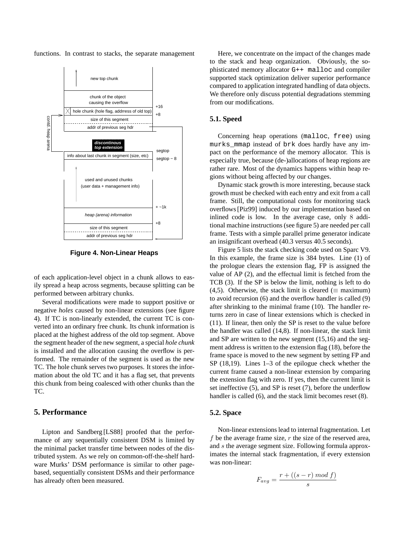functions. In contrast to stacks, the separate management



**Figure 4. Non-Linear Heaps**

of each application-level object in a chunk allows to easily spread a heap across segments, because splitting can be performed between arbitrary chunks.

Several modifications were made to support positive or negative *holes* caused by non-linear extensions (see figure 4). If TC is non-linearly extended, the current TC is converted into an ordinary free chunk. Its chunk information is placed at the highest address of the old top segment. Above the segment header of the new segment, a special *hole chunk* is installed and the allocation causing the overflow is performed. The remainder of the segment is used as the new TC. The hole chunk serves two purposes. It stores the information about the old TC and it has a flag set, that prevents this chunk from being coalesced with other chunks than the TC.

### **5. Performance**

Lipton and Sandberg [LS88] proofed that the performance of any sequentially consistent DSM is limited by the minimal packet transfer time between nodes of the distributed system. As we rely on common-off-the-shelf hardware Murks' DSM performance is similar to other pagebased, sequentially consistent DSMs and their performance has already often been measured.

Here, we concentrate on the impact of the changes made to the stack and heap organization. Obviously, the sophisticated memory allocator G++ malloc and compiler supported stack optimization deliver superior performance compared to application integrated handling of data objects. We therefore only discuss potential degradations stemming from our modifications.

### **5.1. Speed**

Concerning heap operations (malloc, free) using murks\_mmap instead of brk does hardly have any impact on the performance of the memory allocator. This is especially true, because (de-)allocations of heap regions are rather rare. Most of the dynamics happens within heap regions without being affected by our changes.

Dynamic stack growth is more interesting, because stack growth must be checked with each entry and exit from a call frame. Still, the computational costs for monitoring stack overflows [Piz99] induced by our implementation based on inlined code is low. In the average case, only 8 additional machine instructions (see figure 5) are needed per call frame. Tests with a simple parallel prime generator indicate an insignificant overhead (40.3 versus 40.5 seconds).

Figure 5 lists the stack checking code used on Sparc V9. In this example, the frame size is 384 bytes. Line (1) of the prologue clears the extension flag, FP is assigned the value of AP (2), and the effectual limit is fetched from the TCB (3). If the SP is below the limit, nothing is left to do (4,5). Otherwise, the stack limit is cleared ( $\equiv$  maximum) to avoid recursion (6) and the overflow handler is called (9) after shrinking to the minimal frame (10). The handler returns zero in case of linear extensions which is checked in (11). If linear, then only the SP is reset to the value before the handler was called (14,8). If non-linear, the stack limit and SP are written to the new segment (15,16) and the segment address is written to the extension flag (18), before the frame space is moved to the new segment by setting FP and SP (18,19). Lines 1–3 of the epilogue check whether the current frame caused a non-linear extension by comparing the extension flag with zero. If yes, then the current limit is set ineffective (5), and SP is reset (7), before the underflow handler is called (6), and the stack limit becomes reset (8).

#### **5.2. Space**

Non-linear extensions lead to internal fragmentation. Let f be the average frame size,  $r$  the size of the reserved area, and s the average segment size. Following formula approximates the internal stack fragmentation, if every extension was non-linear:

$$
F_{avg} = \frac{r + ((s - r) \mod f)}{s}
$$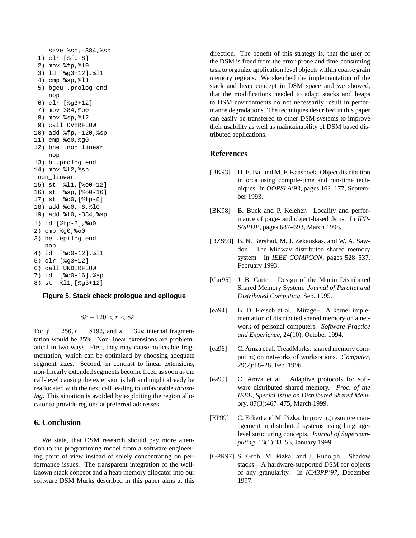```
save %sp,-384,%sp
 1) clr [%fp-8]
 2) mov %fp,%l0
 3) ld [%g3+12],%l1
 4) cmp %sp,%l1
 5) bgeu .prolog_end
    nop
 6) clr [%g3+12]
 7) mov 384,%o0
 8) mov %sp,%l2
 9) call OVERFLOW
10) add %fp,-120,%sp
11) cmp %o0,%g0
12) bne .non_linear
    nop
13) b .prolog_end
14) mov %l2,%sp
.non_linear:
15) st %l1,[%o0-12]
16) st %sp,[%o0-16]
17) st %o0,[%fp-8]
18) add %o0,-8,%l0
19) add %l0,-384,%sp
1) ld [%fp-8],%o0
2) cmp %g0,%o0
3) be .epilog_end
   nop
4) ld [%o0-12],%l1
5) clr [%g3+12]
6) call UNDERFLOW
7) ld [%o0-16],%sp
8) st %l1,[%g3+12]
```
#### **Figure 5. Stack check prologue and epilogue**

$$
8k - 120 < r < 8k
$$

For  $f = 256, r = 8192$ , and  $s = 32k$  internal fragmentation would be 25%. Non-linear extensions are problematical in two ways. First, they may cause noticeable fragmentation, which can be optimized by choosing adequate segment sizes. Second, in contrast to linear extensions, non-linearly extended segments become freed as soon as the call-level causing the extension is left and might already be reallocated with the next call leading to unfavorable *thrashing*. This situation is avoided by exploiting the region allocator to provide regions at preferred addresses.

## **6. Conclusion**

We state, that DSM research should pay more attention to the programming model from a software engineering point of view instead of solely concentrating on performance issues. The transparent integration of the wellknown stack concept and a heap memory allocator into our software DSM Murks described in this paper aims at this direction. The benefit of this strategy is, that the user of the DSM is freed from the error-prone and time-consuming task to organize application level objects within coarse grain memory regions. We sketched the implementation of the stack and heap concept in DSM space and we showed, that the modifications needed to adapt stacks and heaps to DSM environments do not necessarily result in performance degradations. The techniques described in this paper can easily be transfered to other DSM systems to improve their usability as well as maintainability of DSM based distributed applications.

#### **References**

- [BK93] H. E. Bal and M. F. Kaashoek. Object distribution in orca using compile-time and run-time techniques. In *OOPSLA'93*, pages 162–177, September 1993.
- [BK98] B. Buck and P. Keleher. Locality and performance of page- and object-based dsms. In *IPP-S/SPDP*, pages 687–693, March 1998.
- [BZS93] B. N. Bershad, M. J. Zekauskas, and W. A. Sawdon. The Midway distributed shared memory system. In *IEEE COMPCON*, pages 528–537, February 1993.
- [Car95] J. B. Carter. Design of the Munin Distributed Shared Memory System. *Journal of Parallel and Distributed Computing*, Sep. 1995.
- [ea94] B. D. Fleisch et al. Mirage+: A kernel implementation of distributed shared memory on a network of personal computers. *Software Practice and Experience*, 24(10), October 1994.
- [ea96] C. Amza et al. TreadMarks: shared memory computing on networks of workstations. *Computer*, 29(2):18–28, Feb. 1996.
- [ea99] C. Amza et al. Adaptive protocols for software distributed shared memory. *Proc. of the IEEE, Special Issue on Distributed Shared Memory*, 87(3):467–475, March 1999.
- [EP99] C. Eckert and M. Pizka. Improving resource management in distributed systems using languagelevel structuring concepts. *Journal of Supercomputing*, 13(1):33–55, January 1999.
- [GPR97] S. Groh, M. Pizka, and J. Rudolph. Shadow stacks—A hardware-supported DSM for objects of any granularity. In *ICA3PP'97*, December 1997.